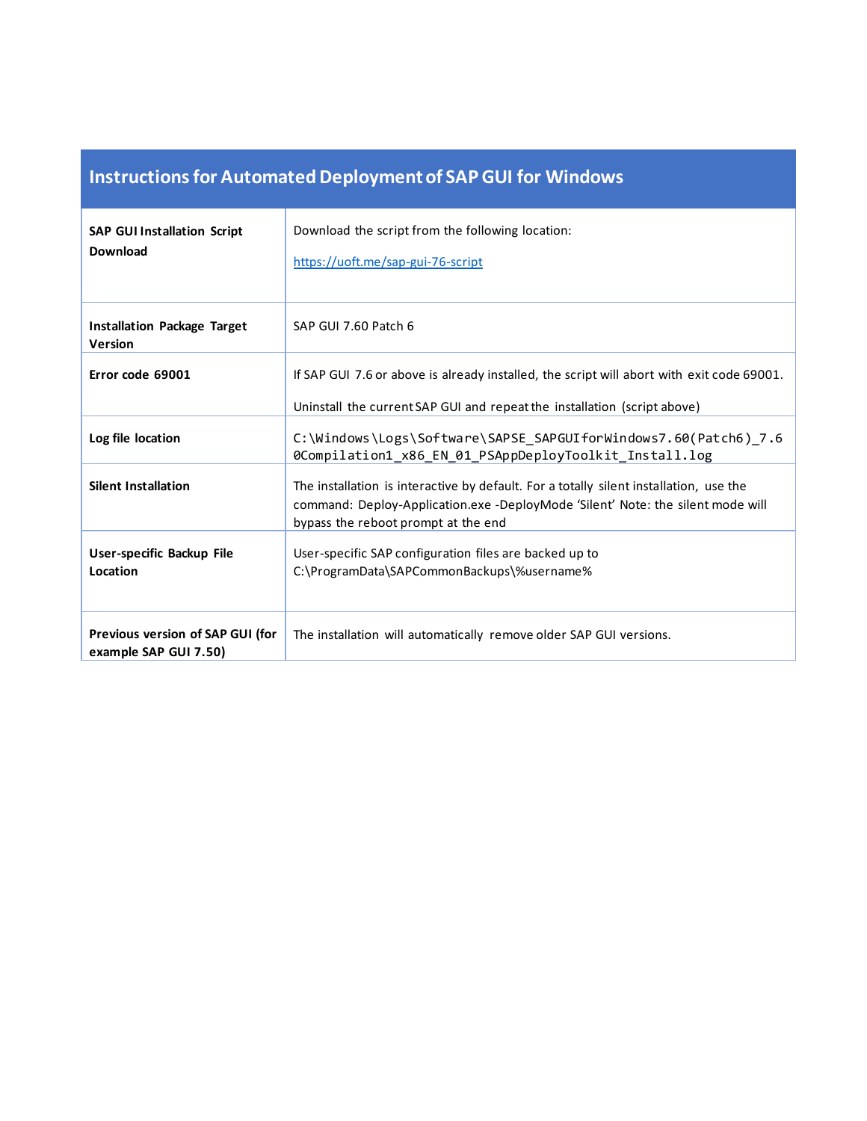## **Instructions for Automated Deployment of SAP GUI for Windows**

| <b>SAP GUI Installation Script</b><br><b>Download</b>     | Download the script from the following location:<br>https://uoft.me/sap-gui-76-script                                                                                                                            |
|-----------------------------------------------------------|------------------------------------------------------------------------------------------------------------------------------------------------------------------------------------------------------------------|
| <b>Installation Package Target</b><br><b>Version</b>      | SAP GUI 7.60 Patch 6                                                                                                                                                                                             |
| Error code 69001                                          | If SAP GUI 7.6 or above is already installed, the script will abort with exit code 69001.<br>Uninstall the current SAP GUI and repeat the installation (script above)                                            |
| Log file location                                         | C:\Windows\Logs\Software\SAPSE_SAPGUIforWindows7.60(Patch6)_7.6<br>0Compilation1_x86_EN_01_PSAppDeployToolkit_Install.log                                                                                        |
| <b>Silent Installation</b>                                | The installation is interactive by default. For a totally silent installation, use the<br>command: Deploy-Application.exe -DeployMode 'Silent' Note: the silent mode will<br>bypass the reboot prompt at the end |
| User-specific Backup File<br>Location                     | User-specific SAP configuration files are backed up to<br>C:\ProgramData\SAPCommonBackups\%username%                                                                                                             |
| Previous version of SAP GUI (for<br>example SAP GUI 7.50) | The installation will automatically remove older SAP GUI versions.                                                                                                                                               |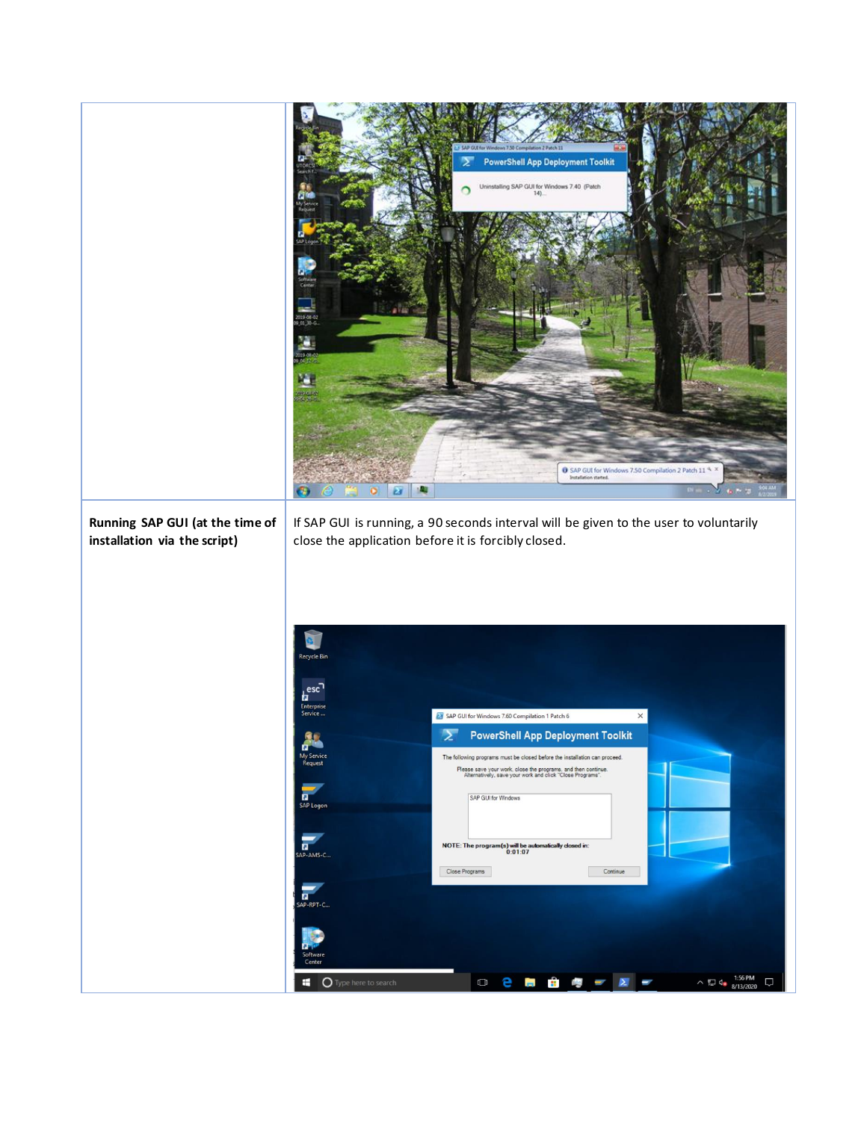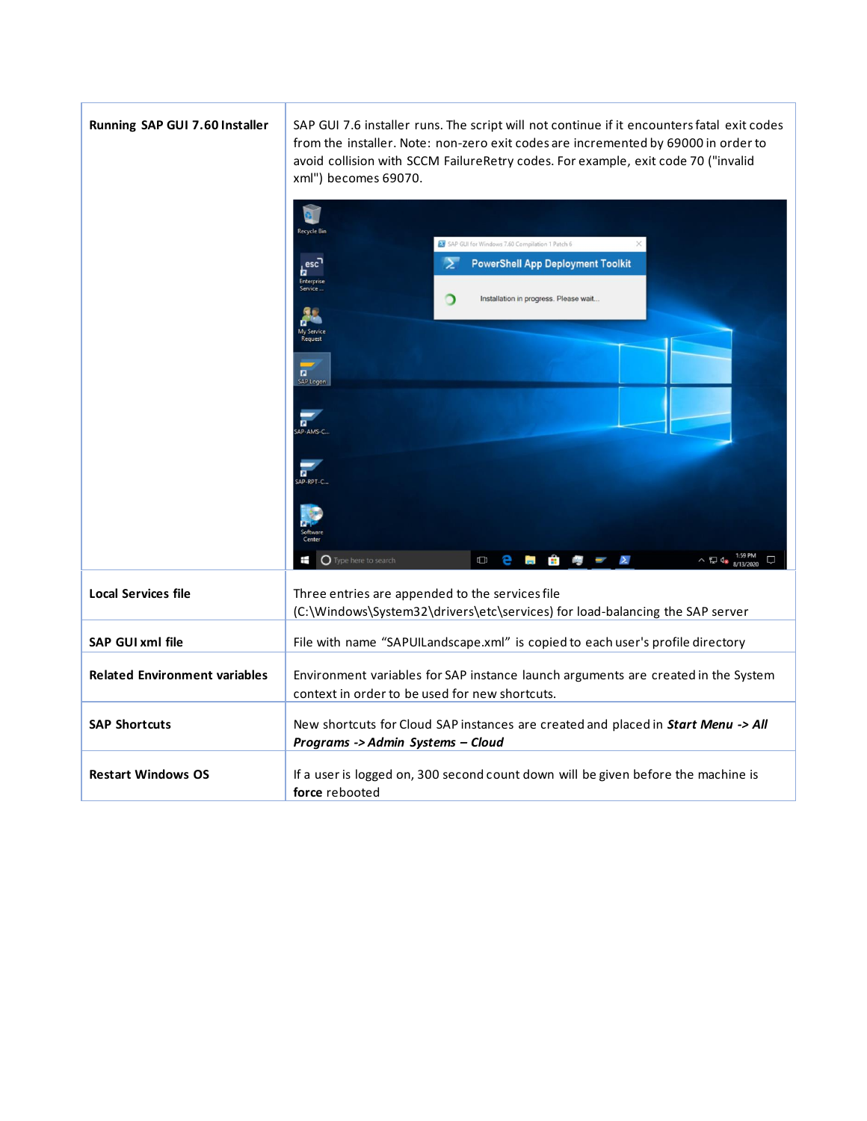| Running SAP GUI 7.60 Installer       | SAP GUI 7.6 installer runs. The script will not continue if it encounters fatal exit codes<br>from the installer. Note: non-zero exit codes are incremented by 69000 in order to<br>avoid collision with SCCM FailureRetry codes. For example, exit code 70 ("invalid<br>xml") becomes 69070. |
|--------------------------------------|-----------------------------------------------------------------------------------------------------------------------------------------------------------------------------------------------------------------------------------------------------------------------------------------------|
|                                      | SAP GUI for Windows 7.60 Compilation 1 Patch 6<br>$\rightarrow$<br><b>PowerShell App Deployment Toolkit</b><br>esc<br><b>Enterprise</b><br>ာ<br>Installation in progress. Please wait.<br>$\overline{a}$                                                                                      |
|                                      | SAP Log<br>σ<br>AP-AMS-C<br>AP-RPT-C<br>O Type here to search<br>8 e 5 f<br>ㅅ 틴 d.                                                                                                                                                                                                            |
| <b>Local Services file</b>           | Three entries are appended to the services file<br>(C:\Windows\System32\drivers\etc\services) for load-balancing the SAP server                                                                                                                                                               |
| <b>SAP GUI xml file</b>              | File with name "SAPUILandscape.xml" is copied to each user's profile directory                                                                                                                                                                                                                |
| <b>Related Environment variables</b> | Environment variables for SAP instance launch arguments are created in the System<br>context in order to be used for new shortcuts.                                                                                                                                                           |
| <b>SAP Shortcuts</b>                 | New shortcuts for Cloud SAP instances are created and placed in Start Menu -> All<br>Programs -> Admin Systems - Cloud                                                                                                                                                                        |
| <b>Restart Windows OS</b>            | If a user is logged on, 300 second count down will be given before the machine is<br>force rebooted                                                                                                                                                                                           |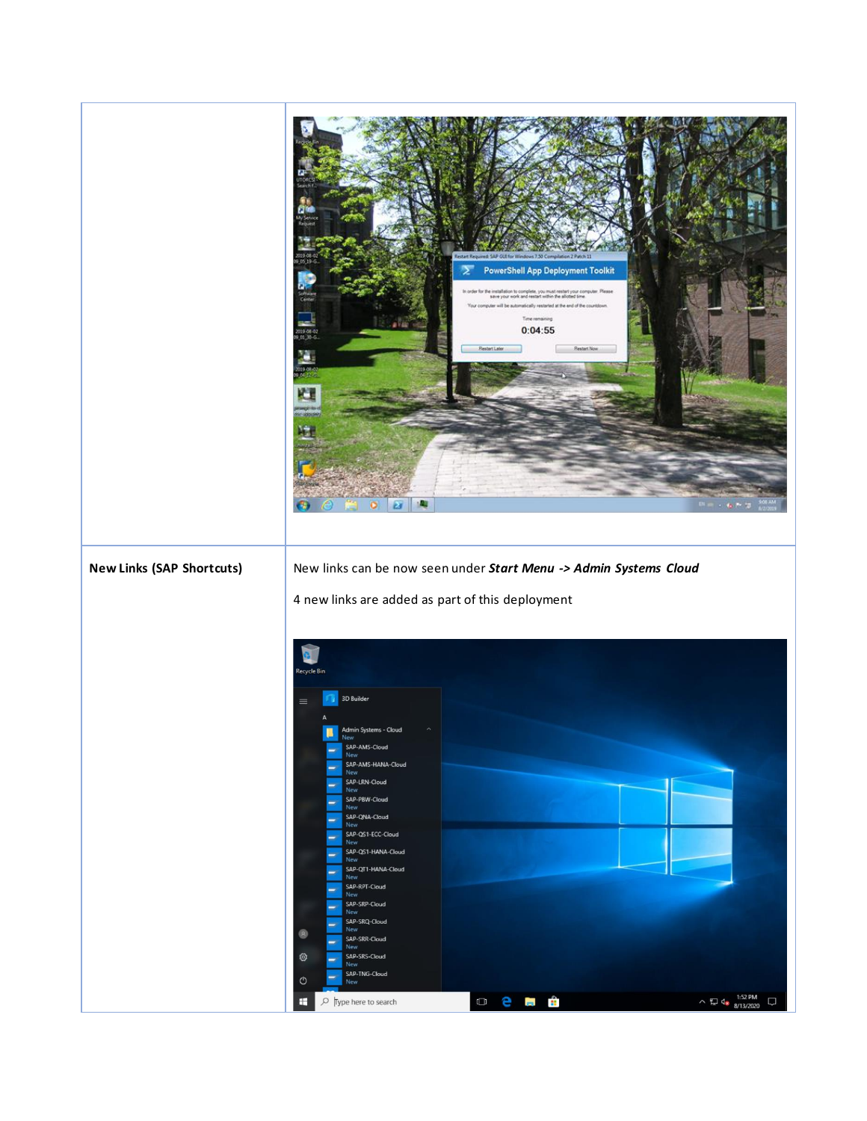